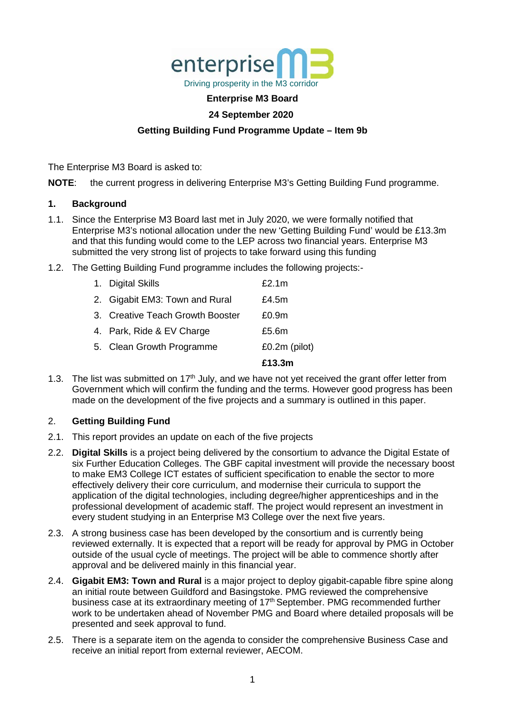

### **Enterprise M3 Board**

## **24 September 2020**

# **Getting Building Fund Programme Update – Item 9b**

The Enterprise M3 Board is asked to:

**NOTE**: the current progress in delivering Enterprise M3's Getting Building Fund programme.

#### **1. Background**

- 1.1. Since the Enterprise M3 Board last met in July 2020, we were formally notified that Enterprise M3's notional allocation under the new 'Getting Building Fund' would be £13.3m and that this funding would come to the LEP across two financial years. Enterprise M3 submitted the very strong list of projects to take forward using this funding
- 1.2. The Getting Building Fund programme includes the following projects:-

|                                  | £13.3m        |
|----------------------------------|---------------|
| 5. Clean Growth Programme        | £0.2m (pilot) |
| 4. Park, Ride & EV Charge        | £5.6m         |
| 3. Creative Teach Growth Booster | £0.9m         |
| 2. Gigabit EM3: Town and Rural   | £4.5m         |
| 1. Digital Skills                | £2.1m         |

1.3. The list was submitted on 17<sup>th</sup> July, and we have not yet received the grant offer letter from Government which will confirm the funding and the terms. However good progress has been made on the development of the five projects and a summary is outlined in this paper.

#### 2. **Getting Building Fund**

- 2.1. This report provides an update on each of the five projects
- 2.2. **Digital Skills** is a project being delivered by the consortium to advance the Digital Estate of six Further Education Colleges. The GBF capital investment will provide the necessary boost to make EM3 College ICT estates of sufficient specification to enable the sector to more effectively delivery their core curriculum, and modernise their curricula to support the application of the digital technologies, including degree/higher apprenticeships and in the professional development of academic staff. The project would represent an investment in every student studying in an Enterprise M3 College over the next five years.
- 2.3. A strong business case has been developed by the consortium and is currently being reviewed externally. It is expected that a report will be ready for approval by PMG in October outside of the usual cycle of meetings. The project will be able to commence shortly after approval and be delivered mainly in this financial year.
- 2.4. **Gigabit EM3: Town and Rural** is a major project to deploy gigabit-capable fibre spine along an initial route between Guildford and Basingstoke. PMG reviewed the comprehensive business case at its extraordinary meeting of 17<sup>th</sup> September. PMG recommended further work to be undertaken ahead of November PMG and Board where detailed proposals will be presented and seek approval to fund.
- 2.5. There is a separate item on the agenda to consider the comprehensive Business Case and receive an initial report from external reviewer, AECOM.